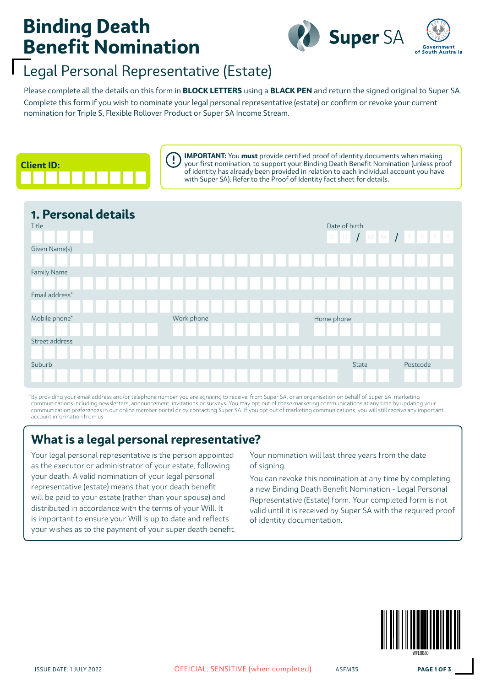# **Binding Death Benefit Nomination**



## Legal Personal Representative (Estate)

Complete this form if you wish to nominate your legal personal representative (estate) or confirm or revoke your current nomination for Triple S, Flexible Rollover Product or Super SA Income Stream. Please complete all the details on this form in **BLOCK LETTERS** using a **BLACK PEN** and return the signed original to Super SA.



**IMPORTANT:** You **must** provide certified proof of identity documents when making your first nomination, to support your Binding Death Benefit Nomination (unless proof of identity has already been provided in relation to each individual account you have with Super SA). Refer to the Proof of Identity fact sheet for details.

| 1. Personal details<br>Title | Date of birth<br>D D T M M T Y Y Y Y |                   |
|------------------------------|--------------------------------------|-------------------|
| Given Name(s)                |                                      |                   |
| Family Name                  |                                      |                   |
| Email address*               |                                      |                   |
| Mobile phone*                | Work phone                           | Home phone        |
| Street address               |                                      |                   |
| Suburb                       |                                      | Postcode<br>State |
|                              |                                      |                   |

\*By providing your email address and/or telephone number you are agreeing to receive, from Super SA, or an organisation on behalf of Super SA, marketing communications including newsletters, announcement, invitations or surveys. You may opt out of these marketing communications at any time by updating your communication preferences in our online member portal or by contacting Super SA. If you opt out of marketing communications, you will still receive any important account information from us.

## **What is a legal personal representative?**

Your legal personal representative is the person appointed as the executor or administrator of your estate, following your death. A valid nomination of your legal personal representative (estate) means that your death benefit will be paid to your estate (rather than your spouse) and distributed in accordance with the terms of your Will. It is important to ensure your Will is up to date and reflects your wishes as to the payment of your super death benefit. Your nomination will last three years from the date of signing.

You can revoke this nomination at any time by completing a new Binding Death Benefit Nomination - Legal Personal Representative (Estate) form. Your completed form is not valid until it is received by Super SA with the required proof of identity documentation.

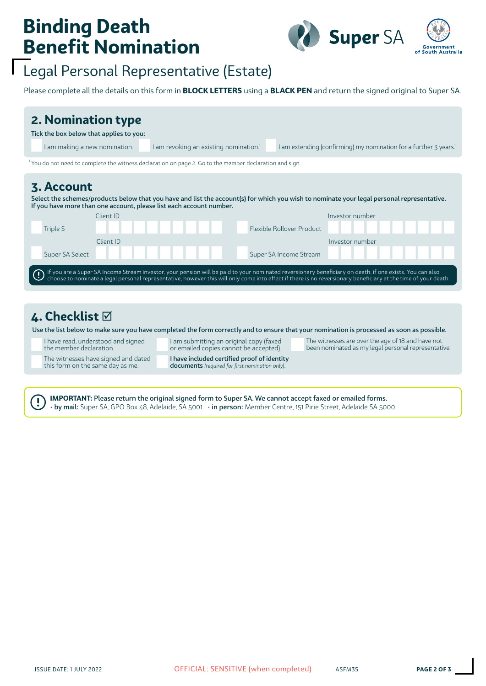# **Binding Death Benefit Nomination**



# Legal Personal Representative (Estate)

Please complete all the details on this form in **BLOCK LETTERS** using a **BLACK PEN** and return the signed original to Super SA.

| 2. Nomination type<br>Tick the box below that applies to you:<br>I am making a new nomination. |           | I am revoking an existing nomination. <sup>1</sup>                                                    |                           | I am extending (confirming) my nomination for a further 3 years!                                                                                                                                                                  |
|------------------------------------------------------------------------------------------------|-----------|-------------------------------------------------------------------------------------------------------|---------------------------|-----------------------------------------------------------------------------------------------------------------------------------------------------------------------------------------------------------------------------------|
|                                                                                                |           | You do not need to complete the witness declaration on page 2. Go to the member declaration and sign. |                           |                                                                                                                                                                                                                                   |
| 3. Account                                                                                     |           | If you have more than one account, please list each account number.                                   |                           | Select the schemes/products below that you have and list the account(s) for which you wish to nominate your legal personal representative.                                                                                        |
|                                                                                                | Client ID |                                                                                                       |                           | Investor number                                                                                                                                                                                                                   |
| Triple S                                                                                       |           |                                                                                                       | Flexible Rollover Product |                                                                                                                                                                                                                                   |
| Super SA Select                                                                                | Client ID |                                                                                                       | Super SA Income Stream    | Investor number                                                                                                                                                                                                                   |
|                                                                                                |           |                                                                                                       |                           | If you are a Super SA Income Stream investor, your pension will be paid to your nominated reversionary beneficiary on death, if one exists. You can also<br>choose to nominate a legal personal representative, however this will |

### **4. Checklist**

Ţ

Use the list below to make sure you have completed the form correctly and to ensure that your nomination is processed as soon as possible.

I have read, understood and signed the member declaration.

The witnesses have signed and dated this form on the same day as me.

I am submitting an original copy (faxed or emailed copies cannot be accepted). I have included certified proof of identity

documents *(required for first nomination only)*.

The witnesses are over the age of 18 and have not been nominated as my legal personal representative.

**IMPORTANT:** Please return the original signed form to Super SA. We cannot accept faxed or emailed forms. • by mail: Super SA, GPO Box 48, Adelaide, SA 5001 • in person: Member Centre, 151 Pirie Street, Adelaide SA 5000